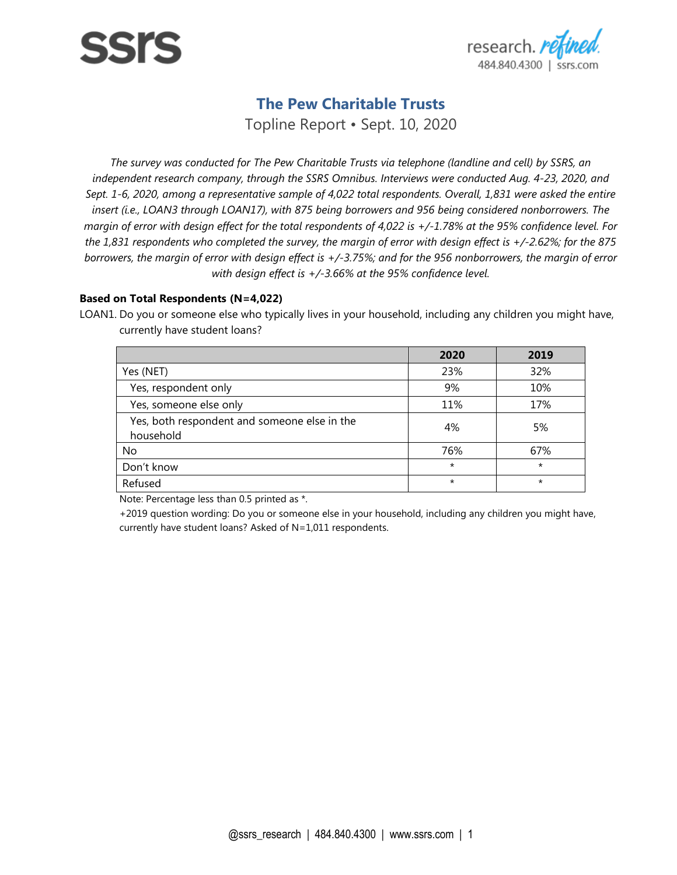

# **The Pew Charitable Trusts**

Topline Report • Sept. 10, 2020

*The survey was conducted for The Pew Charitable Trusts via telephone (landline and cell) by SSRS, an independent research company, through the SSRS Omnibus. Interviews were conducted Aug. 4-23, 2020, and Sept. 1-6, 2020, among a representative sample of 4,022 total respondents. Overall, 1,831 were asked the entire insert (i.e., LOAN3 through LOAN17), with 875 being borrowers and 956 being considered nonborrowers. The margin of error with design effect for the total respondents of 4,022 is +/-1.78% at the 95% confidence level. For the 1,831 respondents who completed the survey, the margin of error with design effect is +/-2.62%; for the 875 borrowers, the margin of error with design effect is +/-3.75%; and for the 956 nonborrowers, the margin of error with design effect is +/-3.66% at the 95% confidence level.*

#### **Based on Total Respondents (N=4,022)**

LOAN1. Do you or someone else who typically lives in your household, including any children you might have, currently have student loans?

|                                                           | 2020     | 2019    |
|-----------------------------------------------------------|----------|---------|
| Yes (NET)                                                 | 23%      | 32%     |
| Yes, respondent only                                      | 9%       | 10%     |
| Yes, someone else only                                    | 11%      | 17%     |
| Yes, both respondent and someone else in the<br>household | 4%       | 5%      |
| No                                                        | 76%      | 67%     |
| Don't know                                                | $\star$  | $\star$ |
| Refused                                                   | $^\star$ | $\star$ |

Note: Percentage less than 0.5 printed as \*.

+2019 question wording: Do you or someone else in your household, including any children you might have, currently have student loans? Asked of N=1,011 respondents.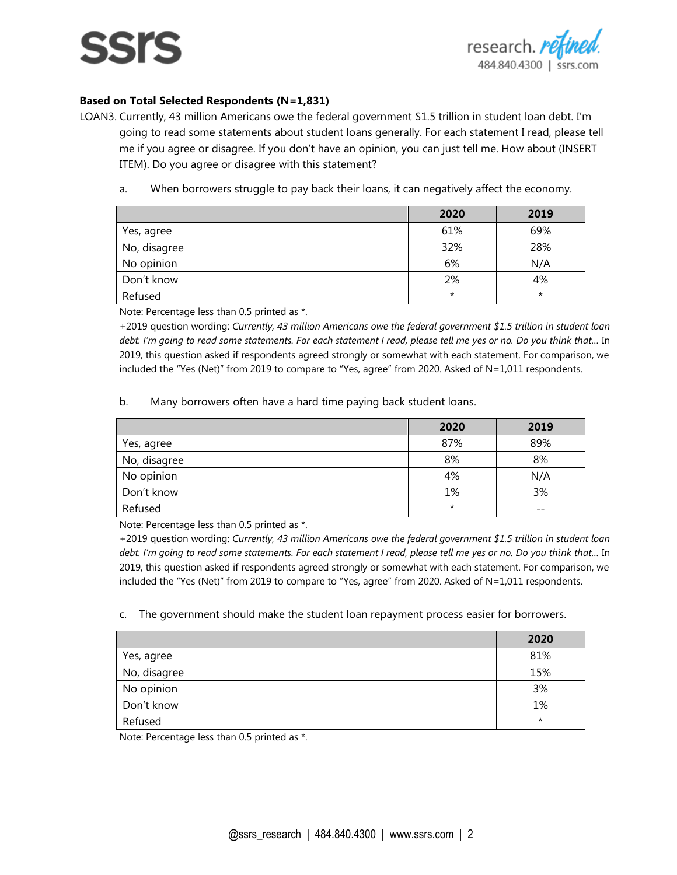# SSIS



### **Based on Total Selected Respondents (N=1,831)**

LOAN3. Currently, 43 million Americans owe the federal government \$1.5 trillion in student loan debt. I'm going to read some statements about student loans generally. For each statement I read, please tell me if you agree or disagree. If you don't have an opinion, you can just tell me. How about (INSERT ITEM). Do you agree or disagree with this statement?

a. When borrowers struggle to pay back their loans, it can negatively affect the economy.

|              | 2020     | 2019     |
|--------------|----------|----------|
| Yes, agree   | 61%      | 69%      |
| No, disagree | 32%      | 28%      |
| No opinion   | 6%       | N/A      |
| Don't know   | 2%       | 4%       |
| Refused      | $^\star$ | $^\star$ |

Note: Percentage less than 0.5 printed as \*.

+2019 question wording: *Currently, 43 million Americans owe the federal government \$1.5 trillion in student loan debt. I'm going to read some statements. For each statement I read, please tell me yes or no. Do you think that…* In 2019, this question asked if respondents agreed strongly or somewhat with each statement. For comparison, we included the "Yes (Net)" from 2019 to compare to "Yes, agree" from 2020. Asked of N=1,011 respondents.

b. Many borrowers often have a hard time paying back student loans.

|              | 2020     | 2019  |
|--------------|----------|-------|
| Yes, agree   | 87%      | 89%   |
| No, disagree | 8%       | 8%    |
| No opinion   | 4%       | N/A   |
| Don't know   | 1%       | 3%    |
| Refused      | $^\star$ | $- -$ |

Note: Percentage less than 0.5 printed as \*.

+2019 question wording: *Currently, 43 million Americans owe the federal government \$1.5 trillion in student loan debt. I'm going to read some statements. For each statement I read, please tell me yes or no. Do you think that…* In 2019, this question asked if respondents agreed strongly or somewhat with each statement. For comparison, we included the "Yes (Net)" from 2019 to compare to "Yes, agree" from 2020. Asked of N=1,011 respondents.

c. The government should make the student loan repayment process easier for borrowers.

|              | 2020     |
|--------------|----------|
| Yes, agree   | 81%      |
| No, disagree | 15%      |
| No opinion   | 3%       |
| Don't know   | 1%       |
| Refused      | $^\star$ |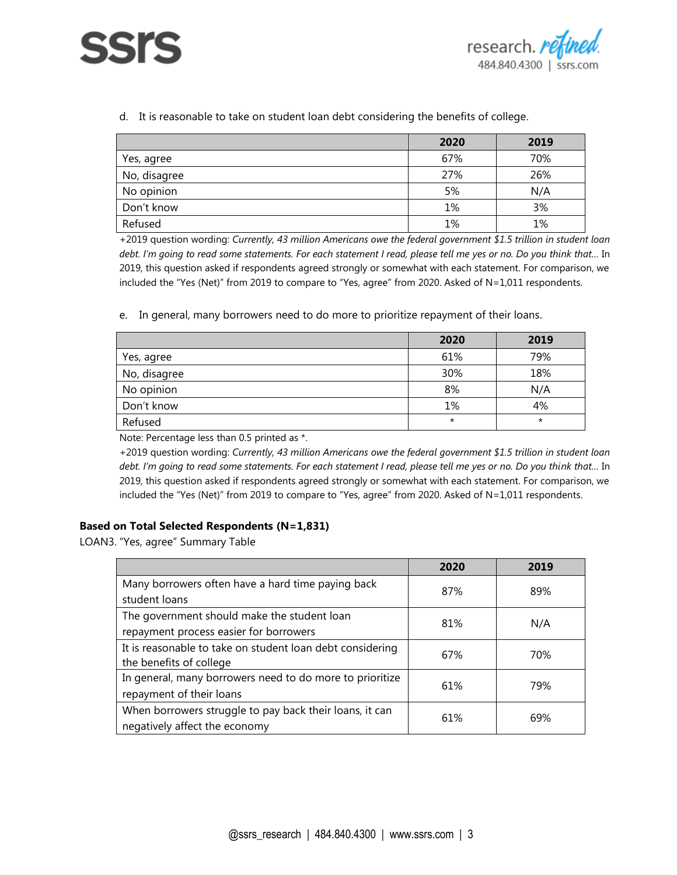



d. It is reasonable to take on student loan debt considering the benefits of college.

|              | 2020 | 2019 |
|--------------|------|------|
| Yes, agree   | 67%  | 70%  |
| No, disagree | 27%  | 26%  |
| No opinion   | 5%   | N/A  |
| Don't know   | 1%   | 3%   |
| Refused      | 1%   | 1%   |

+2019 question wording: *Currently, 43 million Americans owe the federal government \$1.5 trillion in student loan debt. I'm going to read some statements. For each statement I read, please tell me yes or no. Do you think that…* In 2019, this question asked if respondents agreed strongly or somewhat with each statement. For comparison, we included the "Yes (Net)" from 2019 to compare to "Yes, agree" from 2020. Asked of N=1,011 respondents.

e. In general, many borrowers need to do more to prioritize repayment of their loans.

|              | 2020     | 2019     |
|--------------|----------|----------|
| Yes, agree   | 61%      | 79%      |
| No, disagree | 30%      | 18%      |
| No opinion   | 8%       | N/A      |
| Don't know   | 1%       | 4%       |
| Refused      | $^\star$ | $^\star$ |

Note: Percentage less than 0.5 printed as \*.

+2019 question wording: *Currently, 43 million Americans owe the federal government \$1.5 trillion in student loan debt. I'm going to read some statements. For each statement I read, please tell me yes or no. Do you think that…* In 2019, this question asked if respondents agreed strongly or somewhat with each statement. For comparison, we included the "Yes (Net)" from 2019 to compare to "Yes, agree" from 2020. Asked of N=1,011 respondents.

#### **Based on Total Selected Respondents (N=1,831)**

LOAN3. "Yes, agree" Summary Table

|                                                           | 2020 | 2019 |
|-----------------------------------------------------------|------|------|
| Many borrowers often have a hard time paying back         | 87%  | 89%  |
| student loans                                             |      |      |
| The government should make the student loan               | 81%  | N/A  |
| repayment process easier for borrowers                    |      |      |
| It is reasonable to take on student loan debt considering | 67%  | 70%  |
| the benefits of college                                   |      |      |
| In general, many borrowers need to do more to prioritize  | 61%  | 79%  |
| repayment of their loans                                  |      |      |
| When borrowers struggle to pay back their loans, it can   | 61%  | 69%  |
| negatively affect the economy                             |      |      |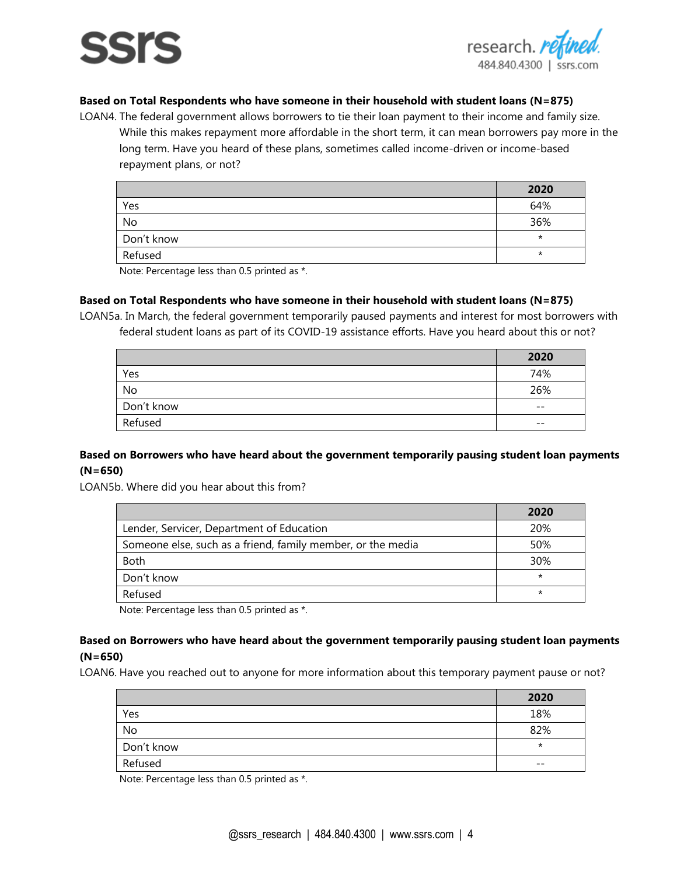# 5515



## **Based on Total Respondents who have someone in their household with student loans (N=875)**

LOAN4. The federal government allows borrowers to tie their loan payment to their income and family size. While this makes repayment more affordable in the short term, it can mean borrowers pay more in the long term. Have you heard of these plans, sometimes called income-driven or income-based repayment plans, or not?

|            | 2020    |
|------------|---------|
| Yes        | 64%     |
| No         | 36%     |
| Don't know | $\star$ |
| Refused    | $\star$ |

Note: Percentage less than 0.5 printed as \*.

#### **Based on Total Respondents who have someone in their household with student loans (N=875)**

LOAN5a. In March, the federal government temporarily paused payments and interest for most borrowers with federal student loans as part of its COVID-19 assistance efforts. Have you heard about this or not?

|            | 2020  |
|------------|-------|
| Yes        | 74%   |
| No         | 26%   |
| Don't know | $- -$ |
| Refused    | $- -$ |

#### **Based on Borrowers who have heard about the government temporarily pausing student loan payments (N=650)**

LOAN5b. Where did you hear about this from?

| Lender, Servicer, Department of Education<br>20%                   | 2020 |
|--------------------------------------------------------------------|------|
|                                                                    |      |
| Someone else, such as a friend, family member, or the media<br>50% |      |
| <b>Both</b><br>30%                                                 |      |
| $\star$<br>Don't know                                              |      |
| Refused<br>$\star$                                                 |      |

Note: Percentage less than 0.5 printed as \*.

#### **Based on Borrowers who have heard about the government temporarily pausing student loan payments (N=650)**

LOAN6. Have you reached out to anyone for more information about this temporary payment pause or not?

|            | 2020     |
|------------|----------|
| Yes        | 18%      |
| No         | 82%      |
| Don't know | $^\star$ |
| Refused    | $- -$    |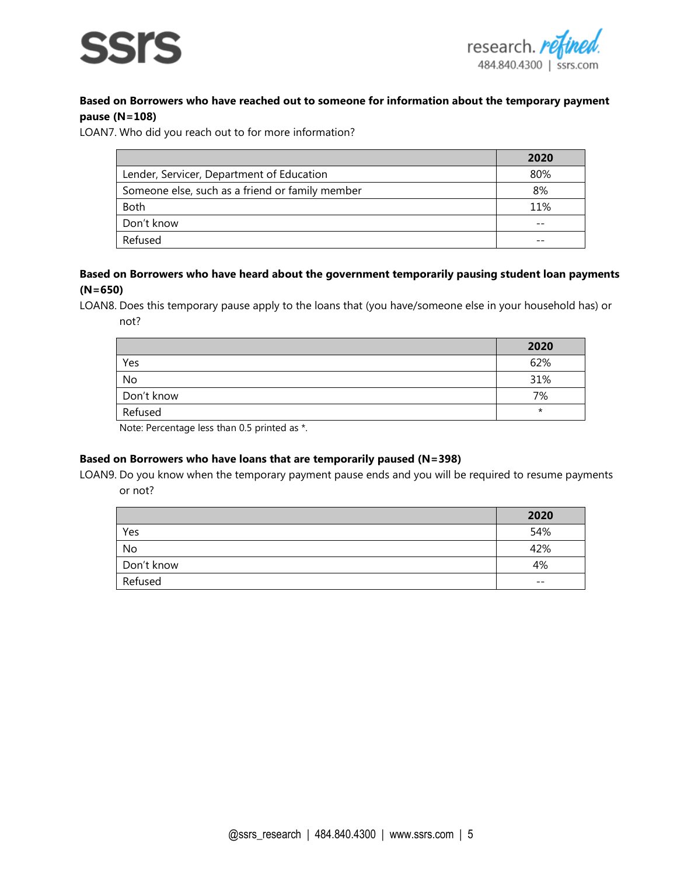



# **Based on Borrowers who have reached out to someone for information about the temporary payment pause (N=108)**

LOAN7. Who did you reach out to for more information?

|                                                 | 2020 |
|-------------------------------------------------|------|
| Lender, Servicer, Department of Education       | 80%  |
| Someone else, such as a friend or family member | 8%   |
| <b>Both</b>                                     | 11%  |
| Don't know                                      |      |
| Refused                                         |      |

#### **Based on Borrowers who have heard about the government temporarily pausing student loan payments (N=650)**

LOAN8. Does this temporary pause apply to the loans that (you have/someone else in your household has) or not?

|            | 2020    |
|------------|---------|
| Yes        | 62%     |
| No         | 31%     |
| Don't know | 7%      |
| Refused    | $\star$ |

Note: Percentage less than 0.5 printed as \*.

#### **Based on Borrowers who have loans that are temporarily paused (N=398)**

LOAN9. Do you know when the temporary payment pause ends and you will be required to resume payments or not?

|            | 2020  |
|------------|-------|
| Yes        | 54%   |
| No         | 42%   |
| Don't know | 4%    |
| Refused    | $- -$ |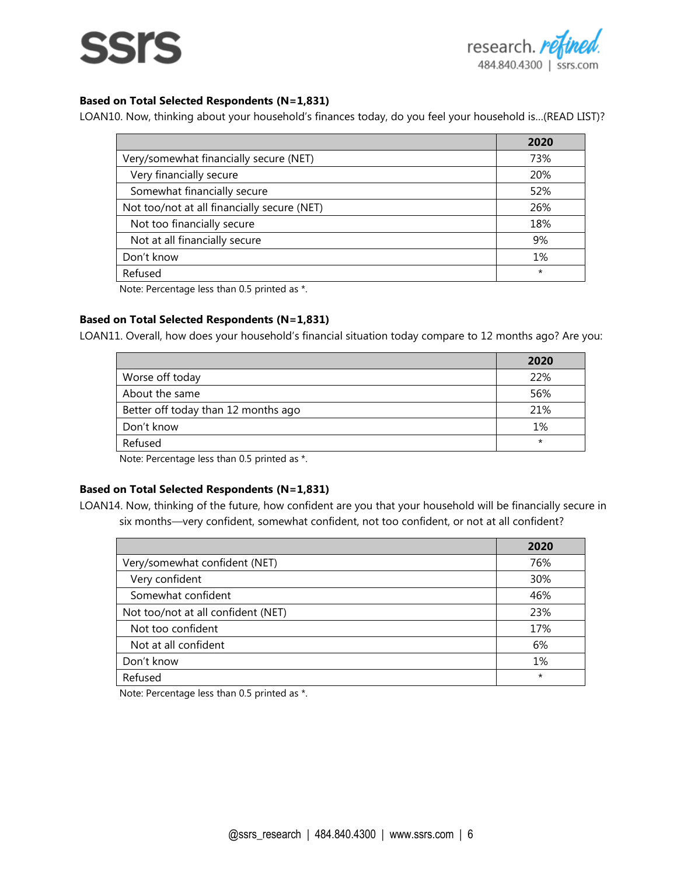



#### **Based on Total Selected Respondents (N=1,831)**

LOAN10. Now, thinking about your household's finances today, do you feel your household is…(READ LIST)?

|                                             | 2020    |
|---------------------------------------------|---------|
| Very/somewhat financially secure (NET)      | 73%     |
| Very financially secure                     | 20%     |
| Somewhat financially secure                 | 52%     |
| Not too/not at all financially secure (NET) | 26%     |
| Not too financially secure                  | 18%     |
| Not at all financially secure               | 9%      |
| Don't know                                  | 1%      |
| Refused                                     | $\star$ |

Note: Percentage less than 0.5 printed as \*.

#### **Based on Total Selected Respondents (N=1,831)**

LOAN11. Overall, how does your household's financial situation today compare to 12 months ago? Are you:

|                                     | 2020    |
|-------------------------------------|---------|
| Worse off today                     | 22%     |
| About the same                      | 56%     |
| Better off today than 12 months ago | 21%     |
| Don't know                          | 1%      |
| Refused                             | $\star$ |

Note: Percentage less than 0.5 printed as \*.

#### **Based on Total Selected Respondents (N=1,831)**

LOAN14. Now, thinking of the future, how confident are you that your household will be financially secure in six months*—*very confident, somewhat confident, not too confident, or not at all confident?

|                                    | 2020    |
|------------------------------------|---------|
| Very/somewhat confident (NET)      | 76%     |
| Very confident                     | 30%     |
| Somewhat confident                 | 46%     |
| Not too/not at all confident (NET) | 23%     |
| Not too confident                  | 17%     |
| Not at all confident               | 6%      |
| Don't know                         | 1%      |
| Refused                            | $\star$ |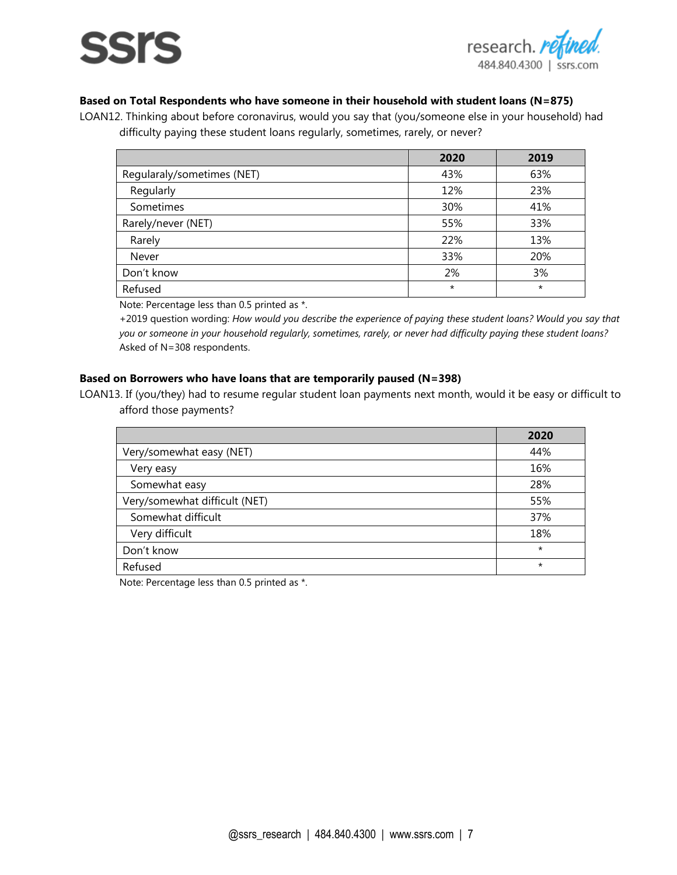# SSIS



## **Based on Total Respondents who have someone in their household with student loans (N=875)**

LOAN12. Thinking about before coronavirus, would you say that (you/someone else in your household) had difficulty paying these student loans regularly, sometimes, rarely, or never?

|                            | 2020    | 2019    |
|----------------------------|---------|---------|
| Regularaly/sometimes (NET) | 43%     | 63%     |
| Regularly                  | 12%     | 23%     |
| Sometimes                  | 30%     | 41%     |
| Rarely/never (NET)         | 55%     | 33%     |
| Rarely                     | 22%     | 13%     |
| Never                      | 33%     | 20%     |
| Don't know                 | 2%      | 3%      |
| Refused                    | $\star$ | $\star$ |

Note: Percentage less than 0.5 printed as \*.

+2019 question wording: *How would you describe the experience of paying these student loans? Would you say that you or someone in your household regularly, sometimes, rarely, or never had difficulty paying these student loans?* Asked of N=308 respondents.

### **Based on Borrowers who have loans that are temporarily paused (N=398)**

LOAN13. If (you/they) had to resume regular student loan payments next month, would it be easy or difficult to afford those payments?

|                               | 2020    |
|-------------------------------|---------|
| Very/somewhat easy (NET)      | 44%     |
| Very easy                     | 16%     |
| Somewhat easy                 | 28%     |
| Very/somewhat difficult (NET) | 55%     |
| Somewhat difficult            | 37%     |
| Very difficult                | 18%     |
| Don't know                    | $\star$ |
| Refused                       | $\star$ |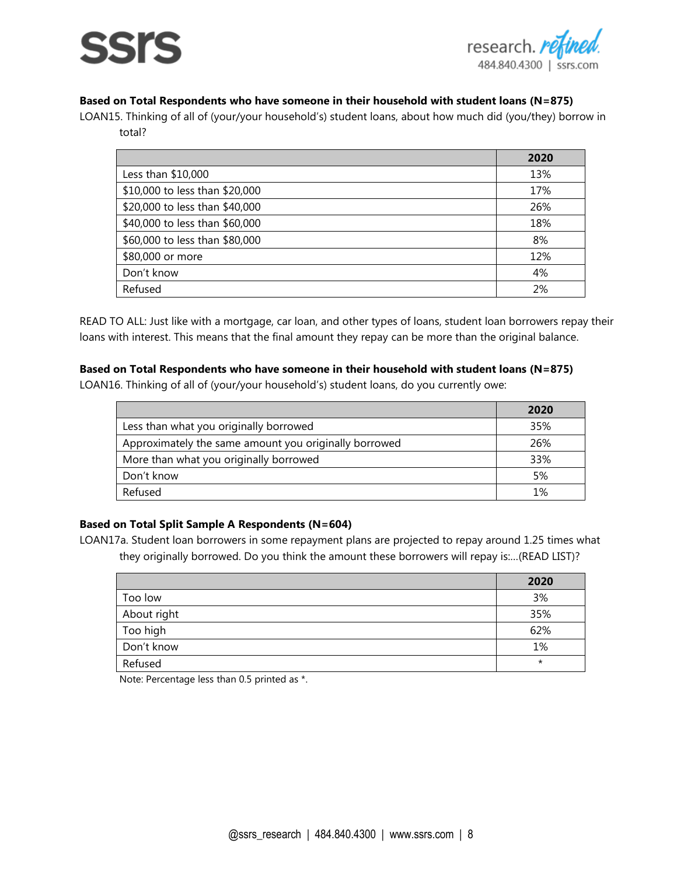# SSIS



# **Based on Total Respondents who have someone in their household with student loans (N=875)**

LOAN15. Thinking of all of (your/your household's) student loans, about how much did (you/they) borrow in total?

|                                | 2020 |
|--------------------------------|------|
| Less than \$10,000             | 13%  |
| \$10,000 to less than \$20,000 | 17%  |
| \$20,000 to less than \$40,000 | 26%  |
| \$40,000 to less than \$60,000 | 18%  |
| \$60,000 to less than \$80,000 | 8%   |
| \$80,000 or more               | 12%  |
| Don't know                     | 4%   |
| Refused                        | 2%   |

READ TO ALL: Just like with a mortgage, car loan, and other types of loans, student loan borrowers repay their loans with interest. This means that the final amount they repay can be more than the original balance.

### **Based on Total Respondents who have someone in their household with student loans (N=875)**

LOAN16. Thinking of all of (your/your household's) student loans, do you currently owe:

|                                                       | 2020 |
|-------------------------------------------------------|------|
| Less than what you originally borrowed                | 35%  |
| Approximately the same amount you originally borrowed | 26%  |
| More than what you originally borrowed                | 33%  |
| Don't know                                            | 5%   |
| Refused                                               | 1%   |

# **Based on Total Split Sample A Respondents (N=604)**

LOAN17a. Student loan borrowers in some repayment plans are projected to repay around 1.25 times what they originally borrowed. Do you think the amount these borrowers will repay is:…(READ LIST)?

|             | 2020     |
|-------------|----------|
| Too low     | 3%       |
| About right | 35%      |
| Too high    | 62%      |
| Don't know  | 1%       |
| Refused     | $^\star$ |